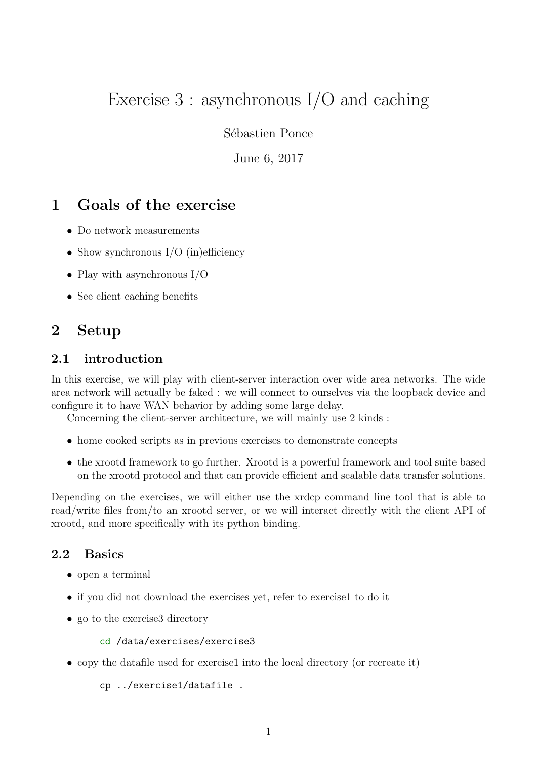# Exercise 3 : asynchronous I/O and caching

Sébastien Ponce

June 6, 2017

### 1 Goals of the exercise

- Do network measurements
- Show synchronous  $I/O$  (in)efficiency
- Play with asynchronous I/O
- See client caching benefits

### 2 Setup

#### 2.1 introduction

In this exercise, we will play with client-server interaction over wide area networks. The wide area network will actually be faked : we will connect to ourselves via the loopback device and configure it to have WAN behavior by adding some large delay.

Concerning the client-server architecture, we will mainly use 2 kinds :

- home cooked scripts as in previous exercises to demonstrate concepts
- the xrootd framework to go further. Xrootd is a powerful framework and tool suite based on the xrootd protocol and that can provide efficient and scalable data transfer solutions.

Depending on the exercises, we will either use the xrdcp command line tool that is able to read/write files from/to an xrootd server, or we will interact directly with the client API of xrootd, and more specifically with its python binding.

#### 2.2 Basics

- open a terminal
- if you did not download the exercises yet, refer to exercise1 to do it
- go to the exercise directory

```
cd /data/exercises/exercise3
```
• copy the datafile used for exercise1 into the local directory (or recreate it)

cp ../exercise1/datafile .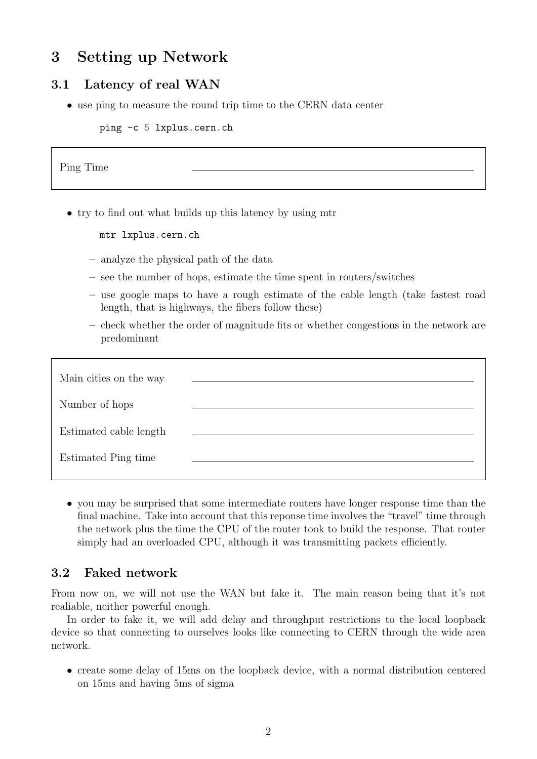## 3 Setting up Network

### 3.1 Latency of real WAN

• use ping to measure the round trip time to the CERN data center

ping -c 5 lxplus.cern.ch

Ping Time

- try to find out what builds up this latency by using mtr
	- mtr lxplus.cern.ch
	- analyze the physical path of the data
	- see the number of hops, estimate the time spent in routers/switches
	- use google maps to have a rough estimate of the cable length (take fastest road length, that is highways, the fibers follow these)
	- check whether the order of magnitude fits or whether congestions in the network are predominant

| Main cities on the way |  |
|------------------------|--|
| Number of hops         |  |
| Estimated cable length |  |
| Estimated Ping time    |  |

• you may be surprised that some intermediate routers have longer response time than the final machine. Take into account that this reponse time involves the "travel" time through the network plus the time the CPU of the router took to build the response. That router simply had an overloaded CPU, although it was transmitting packets efficiently.

#### 3.2 Faked network

From now on, we will not use the WAN but fake it. The main reason being that it's not realiable, neither powerful enough.

In order to fake it, we will add delay and throughput restrictions to the local loopback device so that connecting to ourselves looks like connecting to CERN through the wide area network.

• create some delay of 15ms on the loopback device, with a normal distribution centered on 15ms and having 5ms of sigma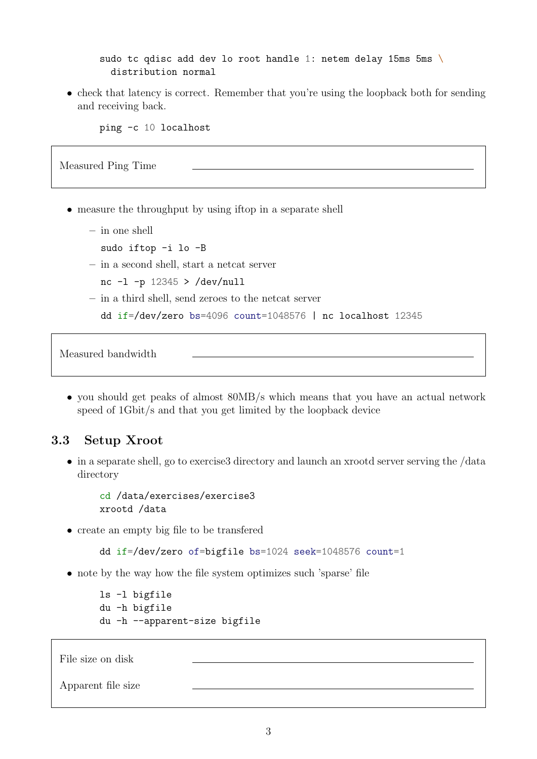sudo tc qdisc add dev lo root handle 1: netem delay 15ms 5ms \ distribution normal

• check that latency is correct. Remember that you're using the loopback both for sending and receiving back.

ping -c 10 localhost

Measured Ping Time

- measure the throughput by using iftop in a separate shell
	- in one shell
		- sudo iftop -i lo -B
	- in a second shell, start a netcat server
		- nc  $-1$  -p 12345 > /dev/null
	- in a third shell, send zeroes to the netcat server

```
dd if=/dev/zero bs=4096 count=1048576 | nc localhost 12345
```
Measured bandwidth

• you should get peaks of almost 80MB/s which means that you have an actual network speed of 1Gbit/s and that you get limited by the loopback device

#### 3.3 Setup Xroot

• in a separate shell, go to exercise 3directory and launch an xrootd server serving the /data directory

cd /data/exercises/exercise3 xrootd /data

• create an empty big file to be transfered

dd if=/dev/zero of=bigfile bs=1024 seek=1048576 count=1

• note by the way how the file system optimizes such 'sparse' file

```
ls -l bigfile
du -h bigfile
du -h --apparent-size bigfile
```
File size on disk

Apparent file size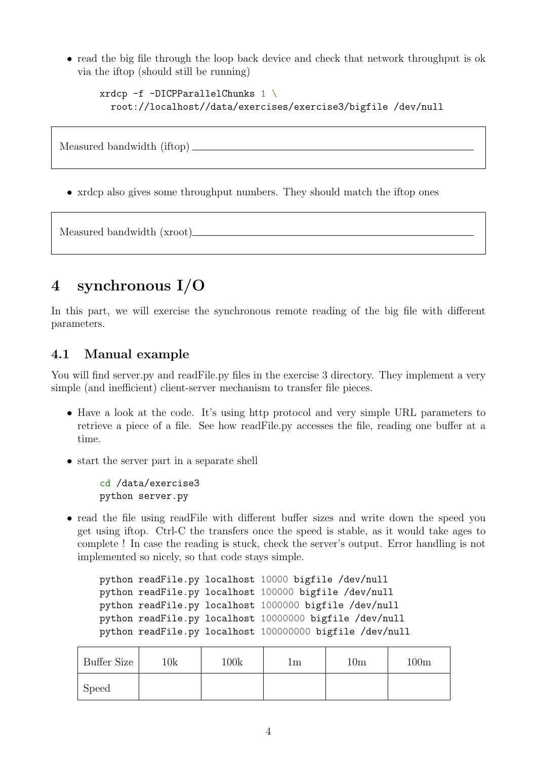• read the big file through the loop back device and check that network throughput is ok via the iftop (should still be running)

```
xrdcp -f -DICPParallelChunks 1 \
 root://localhost//data/exercises/exercise3/bigfile /dev/null
```
Measured bandwidth (iftop)

• xrdcp also gives some throughput numbers. They should match the iftop ones

Measured bandwidth (xroot)

## 4 synchronous I/O

In this part, we will exercise the synchronous remote reading of the big file with different parameters.

#### 4.1 Manual example

You will find server.py and readFile.py files in the exercise 3 directory. They implement a very simple (and inefficient) client-server mechanism to transfer file pieces.

- Have a look at the code. It's using http protocol and very simple URL parameters to retrieve a piece of a file. See how readFile.py accesses the file, reading one buffer at a time.
- start the server part in a separate shell

cd /data/exercise3 python server.py

• read the file using readFile with different buffer sizes and write down the speed you get using iftop. Ctrl-C the transfers once the speed is stable, as it would take ages to complete ! In case the reading is stuck, check the server's output. Error handling is not implemented so nicely, so that code stays simple.

python readFile.py localhost 10000 bigfile /dev/null python readFile.py localhost 100000 bigfile /dev/null python readFile.py localhost 1000000 bigfile /dev/null python readFile.py localhost 10000000 bigfile /dev/null python readFile.py localhost 100000000 bigfile /dev/null

| Buffer Size  | $10\mathrm{k}$ | 100k | Ιm | $10\mathrm{m}$ | 100 <sub>m</sub> |
|--------------|----------------|------|----|----------------|------------------|
| <b>Speed</b> |                |      |    |                |                  |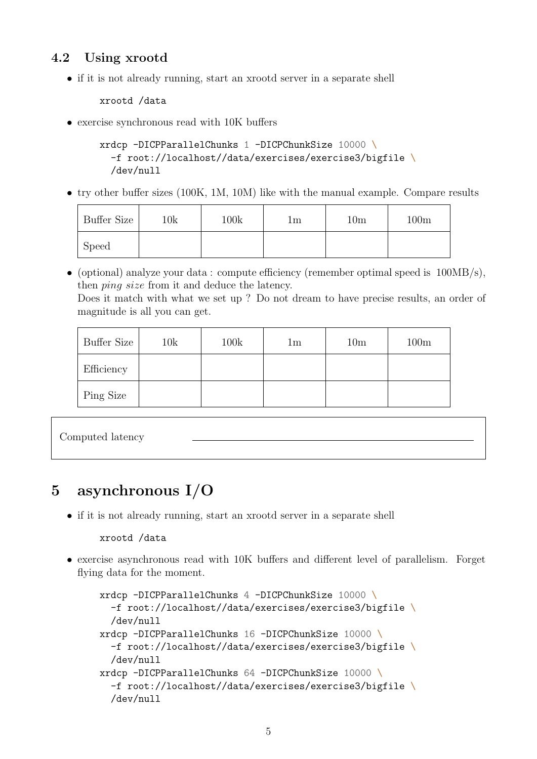### 4.2 Using xrootd

• if it is not already running, start an xrootd server in a separate shell

xrootd /data

• exercise synchronous read with 10K buffers

```
xrdcp -DICPParallelChunks 1 -DICPChunkSize 10000 \
  -f root://localhost//data/exercises/exercise3/bigfile \
  /dev/null
```
• try other buffer sizes (100K, 1M, 10M) like with the manual example. Compare results

| Buffer Size  | $10\mathrm{k}$ | 100k | lm | 10 <sub>m</sub> | 100m |
|--------------|----------------|------|----|-----------------|------|
| <b>Speed</b> |                |      |    |                 |      |

• (optional) analyze your data: compute efficiency (remember optimal speed is  $100MB/s$ ), then ping size from it and deduce the latency. Does it match with what we set up ? Do not dream to have precise results, an order of magnitude is all you can get.

| agnitude is all you can ge |  |  |  |
|----------------------------|--|--|--|
|                            |  |  |  |

| Buffer Size | 10k | 100k | 1 <sub>m</sub> | 10 <sub>m</sub> | 100m |
|-------------|-----|------|----------------|-----------------|------|
| Efficiency  |     |      |                |                 |      |
| Ping Size   |     |      |                |                 |      |

```
Computed latency
```
## 5 asynchronous I/O

• if it is not already running, start an xrootd server in a separate shell

#### xrootd /data

• exercise asynchronous read with 10K buffers and different level of parallelism. Forget flying data for the moment.

```
xrdcp -DICPParallelChunks 4 -DICPChunkSize 10000 \
  -f root://localhost//data/exercises/exercise3/bigfile \
  /dev/null
xrdcp -DICPParallelChunks 16 -DICPChunkSize 10000 \
  -f root://localhost//data/exercises/exercise3/bigfile \
  /dev/null
xrdcp -DICPParallelChunks 64 -DICPChunkSize 10000 \
  -f root://localhost//data/exercises/exercise3/bigfile \
  /dev/null
```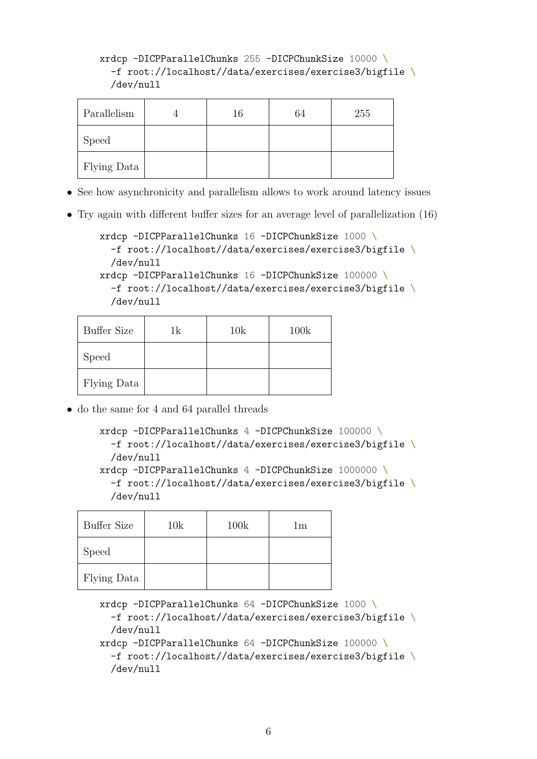#### xrdcp -DICPParallelChunks 255 -DICPChunkSize 10000 \ -f root://localhost//data/exercises/exercise3/bigfile \ /dev/null

| Parallelism | 16 | 64 | 255 |
|-------------|----|----|-----|
| Speed       |    |    |     |
| Flying Data |    |    |     |

- See how asynchronicity and parallelism allows to work around latency issues
- Try again with different buffer sizes for an average level of parallelization (16)

```
xrdcp -DICPParallelChunks 16 -DICPChunkSize 1000 \
  -f root://localhost//data/exercises/exercise3/bigfile \
  /dev/null
xrdcp -DICPParallelChunks 16 -DICPChunkSize 100000 \
  -f root://localhost//data/exercises/exercise3/bigfile \
  /dev/null
```

| <b>Buffer Size</b> | 1k | 10k | 100k |
|--------------------|----|-----|------|
| <b>Speed</b>       |    |     |      |
| Flying Data        |    |     |      |

• do the same for 4 and 64 parallel threads

```
xrdcp -DICPParallelChunks 4 -DICPChunkSize 100000 \
  -f root://localhost//data/exercises/exercise3/bigfile \
  /dev/null
xrdcp -DICPParallelChunks 4 -DICPChunkSize 1000000 \
  -f root://localhost//data/exercises/exercise3/bigfile \
  /dev/null
```

| <b>Buffer Size</b> | 10k | 100k | 1m |
|--------------------|-----|------|----|
| Speed              |     |      |    |
| Flying Data        |     |      |    |

```
xrdcp -DICPParallelChunks 64 -DICPChunkSize 1000 \
  -f root://localhost//data/exercises/exercise3/bigfile \
  /dev/null
xrdcp -DICPParallelChunks 64 -DICPChunkSize 100000 \
  -f root://localhost//data/exercises/exercise3/bigfile \
  /dev/null
```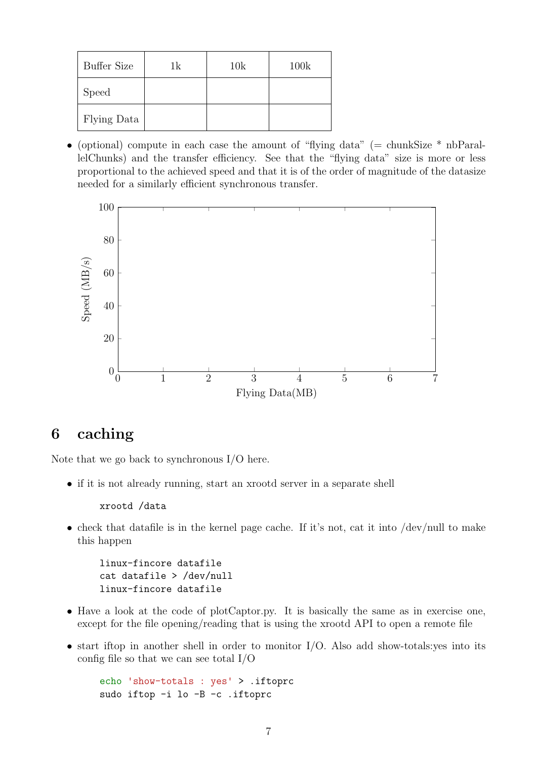| <b>Buffer Size</b> | 1k | 10k | 100k |
|--------------------|----|-----|------|
| Speed              |    |     |      |
| Flying Data        |    |     |      |

• (optional) compute in each case the amount of "flying data" (= chunkSize  $*$  nbParallelChunks) and the transfer efficiency. See that the "flying data" size is more or less proportional to the achieved speed and that it is of the order of magnitude of the datasize needed for a similarly efficient synchronous transfer.



### 6 caching

Note that we go back to synchronous I/O here.

• if it is not already running, start an xrootd server in a separate shell

xrootd /data

• check that datafile is in the kernel page cache. If it's not, cat it into  $/$ dev/null to make this happen

linux-fincore datafile cat datafile > /dev/null linux-fincore datafile

- Have a look at the code of plotCaptor.py. It is basically the same as in exercise one, except for the file opening/reading that is using the xrootd API to open a remote file
- $\bullet$  start if top in another shell in order to monitor I/O. Also add show-totals: yes into its config file so that we can see total I/O

echo 'show-totals : yes' > .iftoprc sudo iftop -i lo -B -c .iftoprc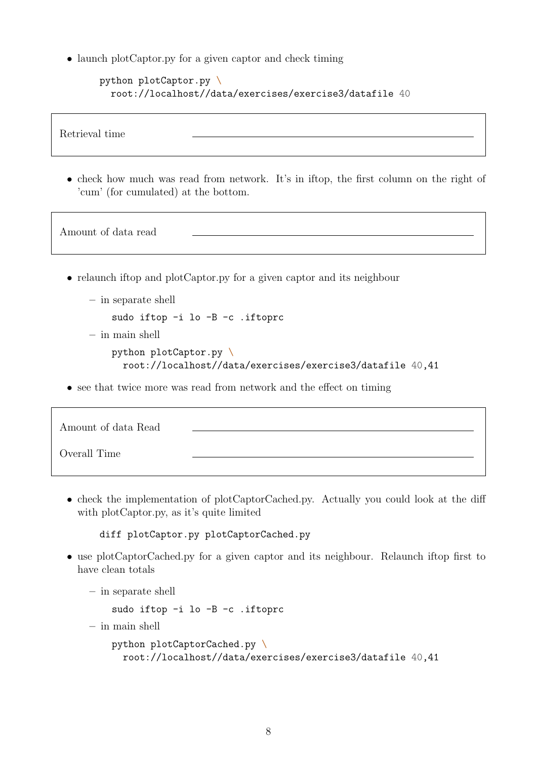• launch plotCaptor.py for a given captor and check timing

```
python plotCaptor.py \
  root://localhost//data/exercises/exercise3/datafile 40
```
Retrieval time

• check how much was read from network. It's in iftop, the first column on the right of 'cum' (for cumulated) at the bottom.

Amount of data read

- relaunch if top and plotCaptor.py for a given captor and its neighbour
	- in separate shell
		- sudo iftop -i lo -B -c .iftoprc
	- in main shell

```
python plotCaptor.py \
 root://localhost//data/exercises/exercise3/datafile 40,41
```
• see that twice more was read from network and the effect on timing

| Amount of data Read |  |
|---------------------|--|
| Overall Time        |  |

• check the implementation of plotCaptorCached.py. Actually you could look at the diff with plotCaptor.py, as it's quite limited

diff plotCaptor.py plotCaptorCached.py

• use plotCaptorCached.py for a given captor and its neighbour. Relaunch if top first to have clean totals

```
– in separate shell
```
sudo iftop -i lo -B -c .iftoprc

– in main shell

```
python plotCaptorCached.py \
 root://localhost//data/exercises/exercise3/datafile 40,41
```